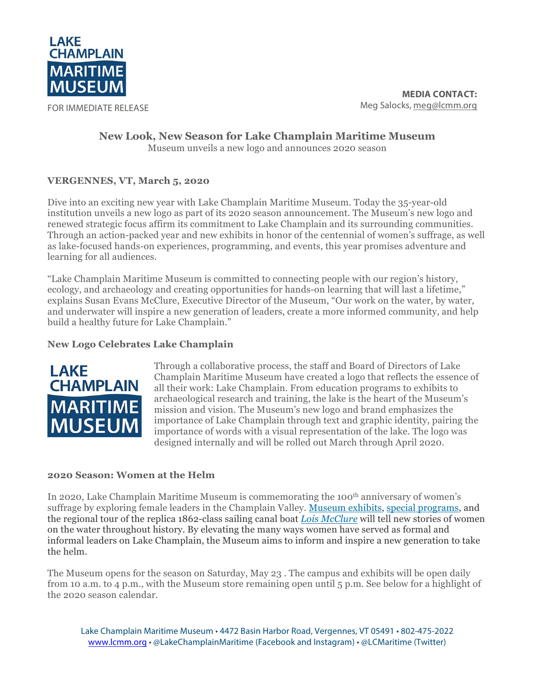

FOR IMMEDIATE RELEASE

## **New Look, New Season for Lake Champlain Maritime Museum** Museum unveils a new logo and announces 2020 season

# **VERGENNES, VT, March 5, 2020**

Dive into an exciting new year with Lake Champlain Maritime Museum. Today the 35-year-old institution unveils a new logo as part of its 2020 season announcement. The Museum's new logo and renewed strategic focus affirm its commitment to Lake Champlain and its surrounding communities. Through an action-packed year and new exhibits in honor of the centennial of women's suffrage, as well as lake-focused hands-on experiences, programming, and events, this year promises adventure and learning for all audiences.

"Lake Champlain Maritime Museum is committed to connecting people with our region's history, ecology, and archaeology and creating opportunities for hands-on learning that will last a lifetime," explains Susan Evans McClure, Executive Director of the Museum, "Our work on the water, by water, and underwater will inspire a new generation of leaders, create a more informed community, and help build a healthy future for Lake Champlain."

## **New Logo Celebrates Lake Champlain**



Through a collaborative process, the staff and Board of Directors of Lake Champlain Maritime Museum have created a logo that reflects the essence of all their work: Lake Champlain. From education programs to exhibits to archaeological research and training, the lake is the heart of the Museum's mission and vision. The Museum's new logo and brand emphasizes the importance of Lake Champlain through text and graphic identity, pairing the importance of words with a visual representation of the lake. The logo was designed internally and will be rolled out March through April 2020.

#### **2020 Season: Women at the Helm**

In 2020, Lake Champlain Maritime Museum is commemorating the 100<sup>th</sup> anniversary of women's suffrage by exploring female leaders in the Champlain Valley. Museum exhibits, special programs, and the regional tour of the replica 1862-class sailing canal boat *Lois McClure* will tell new stories of women on the water throughout history. By elevating the many ways women have served as formal and informal leaders on Lake Champlain, the Museum aims to inform and inspire a new generation to take the helm.

The Museum opens for the season on Saturday, May 23 . The campus and exhibits will be open daily from 10 a.m. to 4 p.m., with the Museum store remaining open until 5 p.m. See below for a highlight of the 2020 season calendar.

Lake Champlain Maritime Museum • 4472 Basin Harbor Road, Vergennes, VT 05491 • 802-475-2022 www.lcmm.org • @LakeChamplainMaritime (Facebook and Instagram) • @LCMaritime (Twitter)